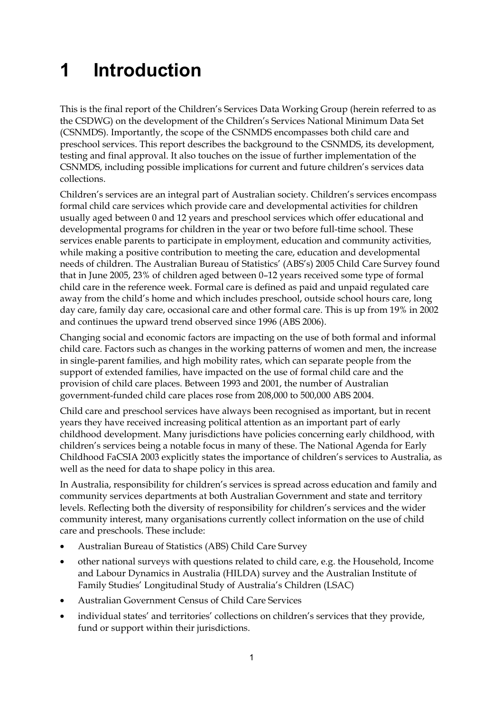## **1 Introduction**

This is the final report of the Children's Services Data Working Group (herein referred to as the CSDWG) on the development of the Children's Services National Minimum Data Set (CSNMDS). Importantly, the scope of the CSNMDS encompasses both child care and preschool services. This report describes the background to the CSNMDS, its development, testing and final approval. It also touches on the issue of further implementation of the CSNMDS, including possible implications for current and future children's services data collections.

Children's services are an integral part of Australian society. Children's services encompass formal child care services which provide care and developmental activities for children usually aged between 0 and 12 years and preschool services which offer educational and developmental programs for children in the year or two before full-time school. These services enable parents to participate in employment, education and community activities, while making a positive contribution to meeting the care, education and developmental needs of children. The Australian Bureau of Statistics' (ABS's) 2005 Child Care Survey found that in June 2005, 23% of children aged between 0–12 years received some type of formal child care in the reference week. Formal care is defined as paid and unpaid regulated care away from the child's home and which includes preschool, outside school hours care, long day care, family day care, occasional care and other formal care. This is up from 19% in 2002 and continues the upward trend observed since 1996 (ABS 2006).

Changing social and economic factors are impacting on the use of both formal and informal child care. Factors such as changes in the working patterns of women and men, the increase in single-parent families, and high mobility rates, which can separate people from the support of extended families, have impacted on the use of formal child care and the provision of child care places. Between 1993 and 2001, the number of Australian government-funded child care places rose from 208,000 to 500,000 ABS 2004.

Child care and preschool services have always been recognised as important, but in recent years they have received increasing political attention as an important part of early childhood development. Many jurisdictions have policies concerning early childhood, with children's services being a notable focus in many of these. The National Agenda for Early Childhood FaCSIA 2003 explicitly states the importance of children's services to Australia, as well as the need for data to shape policy in this area.

In Australia, responsibility for children's services is spread across education and family and community services departments at both Australian Government and state and territory levels. Reflecting both the diversity of responsibility for children's services and the wider community interest, many organisations currently collect information on the use of child care and preschools. These include:

- Australian Bureau of Statistics (ABS) Child Care Survey
- other national surveys with questions related to child care, e.g. the Household, Income and Labour Dynamics in Australia (HILDA) survey and the Australian Institute of Family Studies' Longitudinal Study of Australia's Children (LSAC)
- Australian Government Census of Child Care Services
- individual states' and territories' collections on children's services that they provide, fund or support within their jurisdictions.